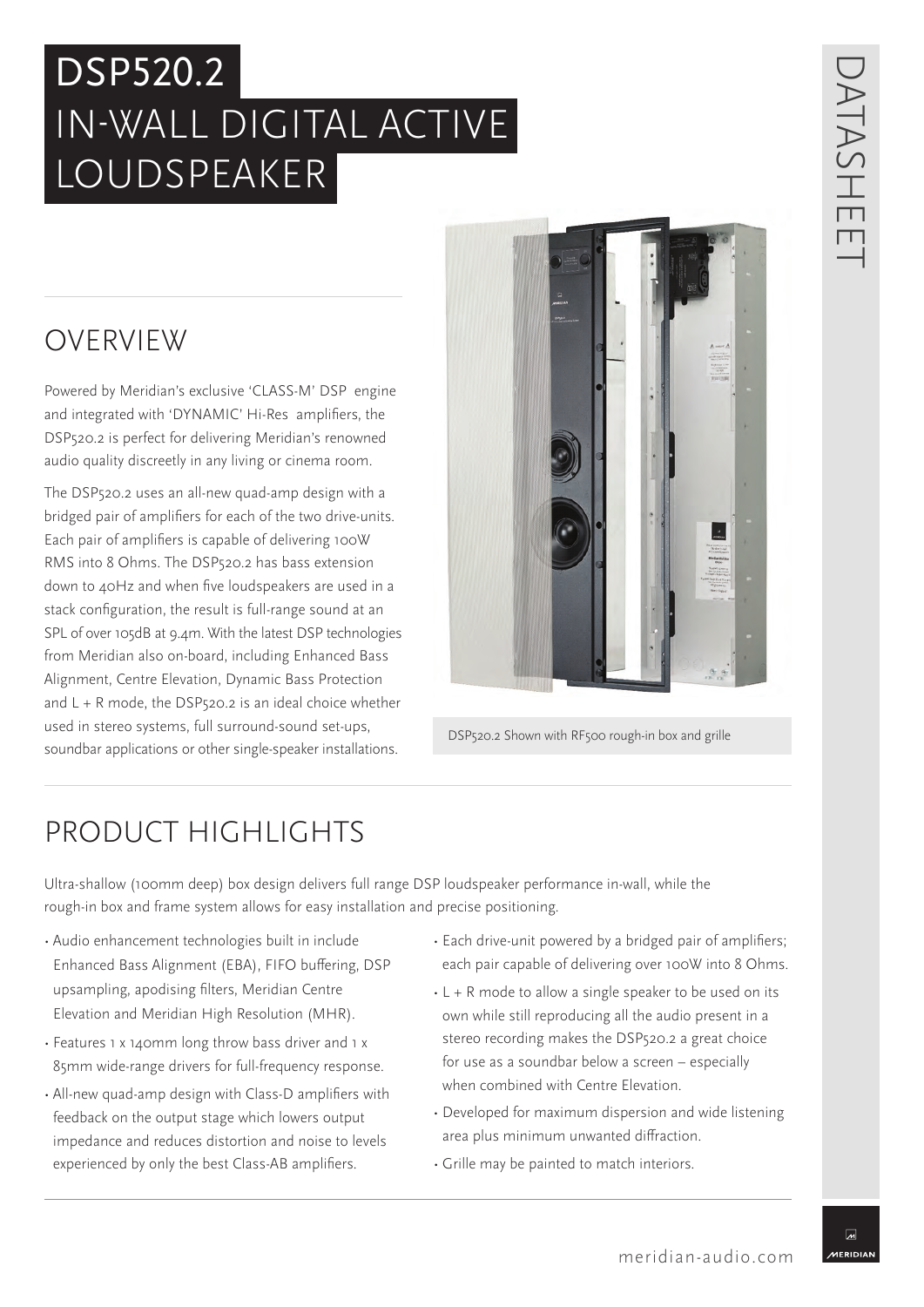## DSP520.2 IN-WALL DIGITAL ACTIVE LOUDSPEAKER

# DATASHEET ATASHE  $\Box$

### OVERVIEW

Powered by Meridian's exclusive 'CLASS-M' DSP engine and integrated with 'DYNAMIC' Hi-Res amplifiers, the DSP520.2 is perfect for delivering Meridian's renowned audio quality discreetly in any living or cinema room.

The DSP520.2 uses an all-new quad-amp design with a bridged pair of amplifiers for each of the two drive-units. Each pair of amplifiers is capable of delivering 100W RMS into 8 Ohms. The DSP520.2 has bass extension down to 40Hz and when five loudspeakers are used in a stack configuration, the result is full-range sound at an SPL of over 105dB at 9.4m. With the latest DSP technologies from Meridian also on-board, including Enhanced Bass Alignment, Centre Elevation, Dynamic Bass Protection and  $L + R$  mode, the DSP520.2 is an ideal choice whether used in stereo systems, full surround-sound set-ups, soundbar applications or other single-speaker installations.



DSP520.2 Shown with RF500 rough-in box and grille

### PRODUCT HIGHLIGHTS

Ultra-shallow (100mm deep) box design delivers full range DSP loudspeaker performance in-wall, while the rough-in box and frame system allows for easy installation and precise positioning.

- Audio enhancement technologies built in include Enhanced Bass Alignment (EBA), FIFO buffering, DSP upsampling, apodising filters, Meridian Centre Elevation and Meridian High Resolution (MHR).
- Features 1 x 140mm long throw bass driver and 1 x 85mm wide-range drivers for full-frequency response.
- All-new quad-amp design with Class-D amplifiers with feedback on the output stage which lowers output impedance and reduces distortion and noise to levels experienced by only the best Class-AB amplifiers.
- Each drive-unit powered by a bridged pair of amplifiers; each pair capable of delivering over 100W into 8 Ohms.
- L + R mode to allow a single speaker to be used on its own while still reproducing all the audio present in a stereo recording makes the DSP520.2 a great choice for use as a soundbar below a screen – especially when combined with Centre Elevation.
- Developed for maximum dispersion and wide listening area plus minimum unwanted diffraction.
- Grille may be painted to match interiors.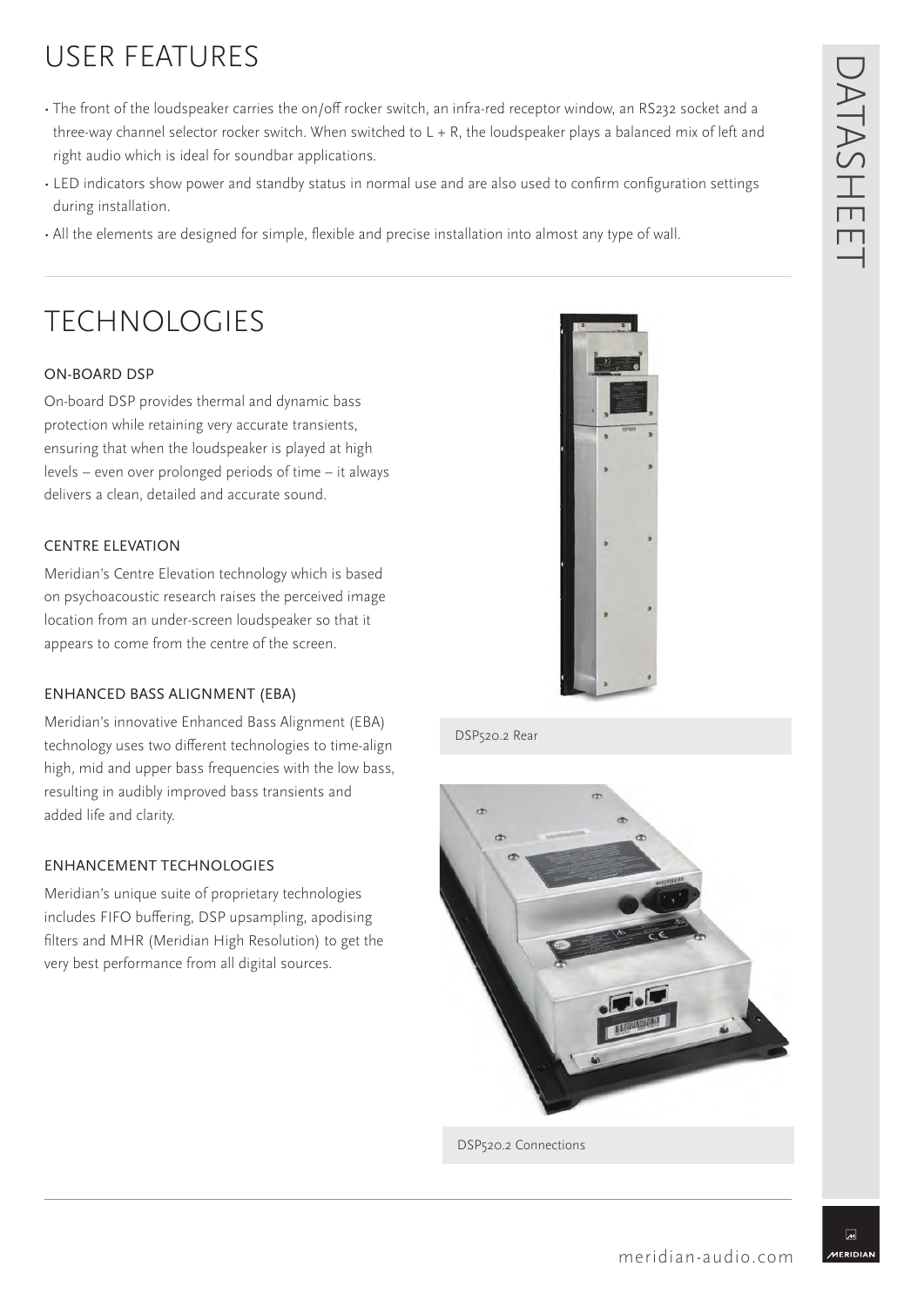### USER FEATURES

- The front of the loudspeaker carries the on/off rocker switch, an infra-red receptor window, an RS232 socket and a three-way channel selector rocker switch. When switched to  $L + R$ , the loudspeaker plays a balanced mix of left and right audio which is ideal for soundbar applications.
- LED indicators show power and standby status in normal use and are also used to confirm configuration settings during installation.
- All the elements are designed for simple, flexible and precise installation into almost any type of wall.

### **TECHNOLOGIFS**

#### ON-BOARD DSP

On-board DSP provides thermal and dynamic bass protection while retaining very accurate transients, ensuring that when the loudspeaker is played at high levels – even over prolonged periods of time – it always delivers a clean, detailed and accurate sound.

#### CENTRE ELEVATION

Meridian's Centre Elevation technology which is based on psychoacoustic research raises the perceived image location from an under-screen loudspeaker so that it appears to come from the centre of the screen.

#### ENHANCED BASS ALIGNMENT (EBA)

Meridian's innovative Enhanced Bass Alignment (EBA) technology uses two different technologies to time-align high, mid and upper bass frequencies with the low bass, resulting in audibly improved bass transients and added life and clarity.

#### ENHANCEMENT TECHNOLOGIES

Meridian's unique suite of proprietary technologies includes FIFO buffering, DSP upsampling, apodising filters and MHR (Meridian High Resolution) to get the very best performance from all digital sources.

![](_page_1_Picture_13.jpeg)

DSP520.2 Rear

![](_page_1_Picture_15.jpeg)

DSP520.2 Connections